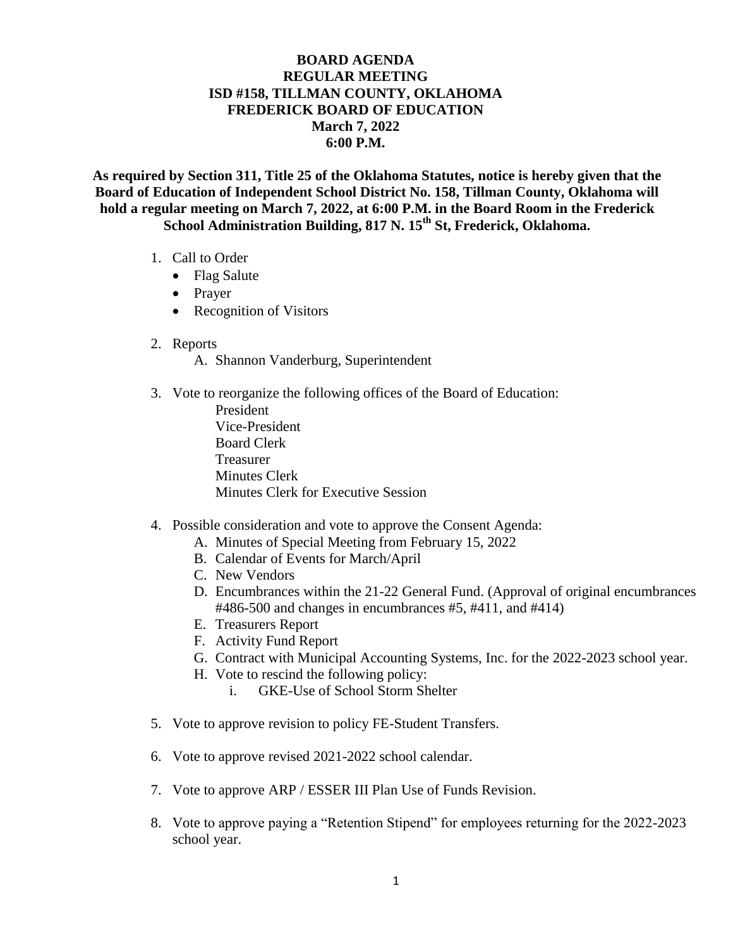## **BOARD AGENDA REGULAR MEETING ISD #158, TILLMAN COUNTY, OKLAHOMA FREDERICK BOARD OF EDUCATION March 7, 2022 6:00 P.M.**

**As required by Section 311, Title 25 of the Oklahoma Statutes, notice is hereby given that the Board of Education of Independent School District No. 158, Tillman County, Oklahoma will hold a regular meeting on March 7, 2022, at 6:00 P.M. in the Board Room in the Frederick School Administration Building, 817 N. 15th St, Frederick, Oklahoma.**

- 1. Call to Order
	- Flag Salute
	- Prayer
	- Recognition of Visitors
- 2. Reports
	- A. Shannon Vanderburg, Superintendent
- 3. Vote to reorganize the following offices of the Board of Education:
	- President Vice-President Board Clerk Treasurer Minutes Clerk Minutes Clerk for Executive Session
- 4. Possible consideration and vote to approve the Consent Agenda:
	- A. Minutes of Special Meeting from February 15, 2022
	- B. Calendar of Events for March/April
	- C. New Vendors
	- D. Encumbrances within the 21-22 General Fund. (Approval of original encumbrances #486-500 and changes in encumbrances #5, #411, and #414)
	- E. Treasurers Report
	- F. Activity Fund Report
	- G. Contract with Municipal Accounting Systems, Inc. for the 2022-2023 school year.
	- H. Vote to rescind the following policy:
		- i. GKE-Use of School Storm Shelter
- 5. Vote to approve revision to policy FE-Student Transfers.
- 6. Vote to approve revised 2021-2022 school calendar.
- 7. Vote to approve ARP / ESSER III Plan Use of Funds Revision.
- 8. Vote to approve paying a "Retention Stipend" for employees returning for the 2022-2023 school year.